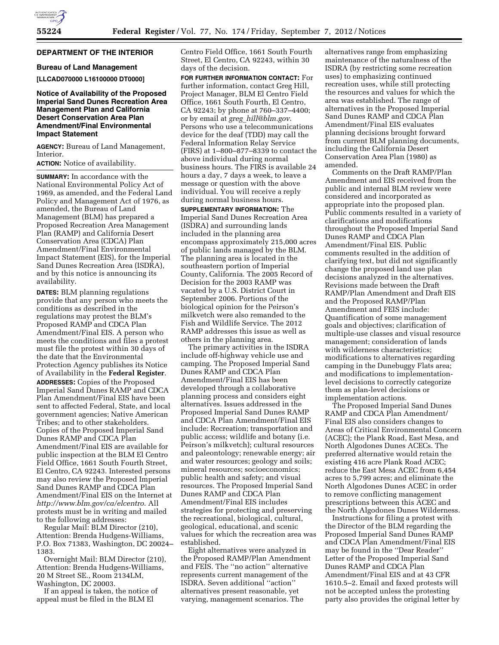# **DEPARTMENT OF THE INTERIOR**

## **Bureau of Land Management**

**[LLCAD070000 L16100000 DT0000]** 

## **Notice of Availability of the Proposed Imperial Sand Dunes Recreation Area Management Plan and California Desert Conservation Area Plan Amendment/Final Environmental Impact Statement**

**AGENCY:** Bureau of Land Management, Interior.

**ACTION:** Notice of availability.

**SUMMARY:** In accordance with the National Environmental Policy Act of 1969, as amended, and the Federal Land Policy and Management Act of 1976, as amended, the Bureau of Land Management (BLM) has prepared a Proposed Recreation Area Management Plan (RAMP) and California Desert Conservation Area (CDCA) Plan Amendment/Final Environmental Impact Statement (EIS), for the Imperial Sand Dunes Recreation Area (ISDRA), and by this notice is announcing its availability.

**DATES:** BLM planning regulations provide that any person who meets the conditions as described in the regulations may protest the BLM's Proposed RAMP and CDCA Plan Amendment/Final EIS. A person who meets the conditions and files a protest must file the protest within 30 days of the date that the Environmental Protection Agency publishes its Notice of Availability in the **Federal Register**. **ADDRESSES:** Copies of the Proposed Imperial Sand Dunes RAMP and CDCA Plan Amendment/Final EIS have been sent to affected Federal, State, and local government agencies; Native American Tribes; and to other stakeholders. Copies of the Proposed Imperial Sand Dunes RAMP and CDCA Plan Amendment/Final EIS are available for public inspection at the BLM El Centro Field Office, 1661 South Fourth Street, El Centro, CA 92243. Interested persons may also review the Proposed Imperial Sand Dunes RAMP and CDCA Plan Amendment/Final EIS on the Internet at *<http://www.blm.gov/ca/elcentro>*. All protests must be in writing and mailed to the following addresses:

Regular Mail: BLM Director (210), Attention: Brenda Hudgens-Williams, P.O. Box 71383, Washington, DC 20024– 1383.

Overnight Mail: BLM Director (210), Attention: Brenda Hudgens-Williams, 20 M Street SE., Room 2134LM, Washington, DC 20003.

If an appeal is taken, the notice of appeal must be filed in the BLM El

Centro Field Office, 1661 South Fourth Street, El Centro, CA 92243, within 30 days of the decision.

**FOR FURTHER INFORMATION CONTACT:** For further information, contact Greg Hill, Project Manager, BLM El Centro Field Office, 1661 South Fourth, El Centro, CA 92243; by phone at 760–337–4400; or by email at *greg*\_*[hill@blm.gov](mailto:greg_hill@blm.gov)*. Persons who use a telecommunications device for the deaf (TDD) may call the Federal Information Relay Service (FIRS) at 1–800–877–8339 to contact the above individual during normal business hours. The FIRS is available 24 hours a day, 7 days a week, to leave a message or question with the above individual. You will receive a reply during normal business hours.

**SUPPLEMENTARY INFORMATION:** The Imperial Sand Dunes Recreation Area (ISDRA) and surrounding lands included in the planning area encompass approximately 215,000 acres of public lands managed by the BLM. The planning area is located in the southeastern portion of Imperial County, California. The 2005 Record of Decision for the 2003 RAMP was vacated by a U.S. District Court in September 2006. Portions of the biological opinion for the Peirson's milkvetch were also remanded to the Fish and Wildlife Service. The 2012 RAMP addresses this issue as well as others in the planning area.

The primary activities in the ISDRA include off-highway vehicle use and camping. The Proposed Imperial Sand Dunes RAMP and CDCA Plan Amendment/Final EIS has been developed through a collaborative planning process and considers eight alternatives. Issues addressed in the Proposed Imperial Sand Dunes RAMP and CDCA Plan Amendment/Final EIS include: Recreation; transportation and public access; wildlife and botany (i.e. Peirson's milkvetch); cultural resources and paleontology; renewable energy; air and water resources; geology and soils; mineral resources; socioeconomics; public health and safety; and visual resources. The Proposed Imperial Sand Dunes RAMP and CDCA Plan Amendment/Final EIS includes strategies for protecting and preserving the recreational, biological, cultural, geological, educational, and scenic values for which the recreation area was established.

Eight alternatives were analyzed in the Proposed RAMP/Plan Amendment and FEIS. The ''no action'' alternative represents current management of the ISDRA. Seven additional ''action'' alternatives present reasonable, yet varying, management scenarios. The

alternatives range from emphasizing maintenance of the naturalness of the ISDRA (by restricting some recreation uses) to emphasizing continued recreation uses, while still protecting the resources and values for which the area was established. The range of alternatives in the Proposed Imperial Sand Dunes RAMP and CDCA Plan Amendment/Final EIS evaluates planning decisions brought forward from current BLM planning documents, including the California Desert Conservation Area Plan (1980) as amended.

Comments on the Draft RAMP/Plan Amendment and EIS received from the public and internal BLM review were considered and incorporated as appropriate into the proposed plan. Public comments resulted in a variety of clarifications and modifications throughout the Proposed Imperial Sand Dunes RAMP and CDCA Plan Amendment/Final EIS. Public comments resulted in the addition of clarifying text, but did not significantly change the proposed land use plan decisions analyzed in the alternatives. Revisions made between the Draft RAMP/Plan Amendment and Draft EIS and the Proposed RAMP/Plan Amendment and FEIS include: Quantification of some management goals and objectives; clarification of multiple-use classes and visual resource management; consideration of lands with wilderness characteristics; modifications to alternatives regarding camping in the Dunebuggy Flats area; and modifications to implementationlevel decisions to correctly categorize them as plan-level decisions or implementation actions.

The Proposed Imperial Sand Dunes RAMP and CDCA Plan Amendment/ Final EIS also considers changes to Areas of Critical Environmental Concern (ACEC); the Plank Road, East Mesa, and North Algodones Dunes ACECs. The preferred alternative would retain the existing 416 acre Plank Road ACEC; reduce the East Mesa ACEC from 6,454 acres to 5,799 acres; and eliminate the North Algodones Dunes ACEC in order to remove conflicting management prescriptions between this ACEC and the North Algodones Dunes Wilderness.

Instructions for filing a protest with the Director of the BLM regarding the Proposed Imperial Sand Dunes RAMP and CDCA Plan Amendment/Final EIS may be found in the ''Dear Reader'' Letter of the Proposed Imperial Sand Dunes RAMP and CDCA Plan Amendment/Final EIS and at 43 CFR 1610.5–2. Email and faxed protests will not be accepted unless the protesting party also provides the original letter by